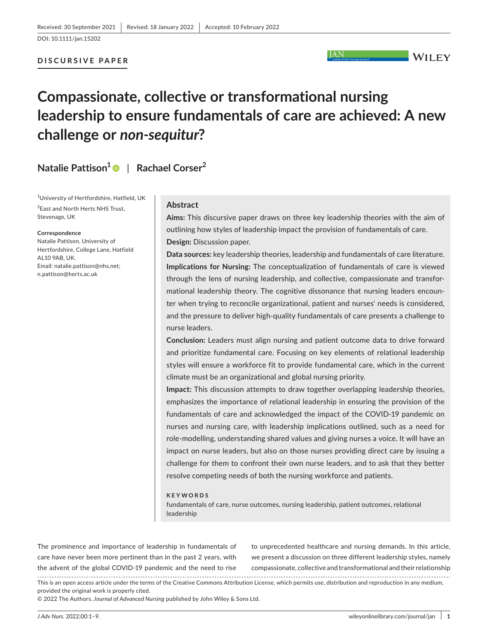DOI: 10.1111/jan.15202

## **DISCURSIVE PAPER**

```
\overline{\phantom{a}} WILEY
```
# **Compassionate, collective or transformational nursing leadership to ensure fundamentals of care are achieved: A new challenge or** *non-sequitur***?**

**Natalie Pattison[1](https://orcid.org/0000-0002-6771-8733)** | **Rachael Corser<sup>2</sup>**

1 University of Hertfordshire, Hatfield, UK <sup>2</sup> East and North Herts NHS Trust, Stevenage, UK

#### **Correspondence**

Natalie Pattison, University of Hertfordshire, College Lane, Hatfield AL10 9AB, UK. Email: [natalie.pattison@nhs.net](mailto:natalie.pattison@nhs.net); [n.pattison@herts.ac.uk](mailto:n.pattison@herts.ac.uk)

## **Abstract**

**Aims:** This discursive paper draws on three key leadership theories with the aim of outlining how styles of leadership impact the provision of fundamentals of care. **Design:** Discussion paper.

**JAN** 

**Data sources:** key leadership theories, leadership and fundamentals of care literature. **Implications for Nursing:** The conceptualization of fundamentals of care is viewed through the lens of nursing leadership, and collective, compassionate and transformational leadership theory. The cognitive dissonance that nursing leaders encounter when trying to reconcile organizational, patient and nurses' needs is considered, and the pressure to deliver high-quality fundamentals of care presents a challenge to nurse leaders.

**Conclusion:** Leaders must align nursing and patient outcome data to drive forward and prioritize fundamental care. Focusing on key elements of relational leadership styles will ensure a workforce fit to provide fundamental care, which in the current climate must be an organizational and global nursing priority.

**Impact:** This discussion attempts to draw together overlapping leadership theories, emphasizes the importance of relational leadership in ensuring the provision of the fundamentals of care and acknowledged the impact of the COVID-19 pandemic on nurses and nursing care, with leadership implications outlined, such as a need for role-modelling, understanding shared values and giving nurses a voice. It will have an impact on nurse leaders, but also on those nurses providing direct care by issuing a challenge for them to confront their own nurse leaders, and to ask that they better resolve competing needs of both the nursing workforce and patients.

#### **KEYWORDS**

fundamentals of care, nurse outcomes, nursing leadership, patient outcomes, relational leadership

The prominence and importance of leadership in fundamentals of care have never been more pertinent than in the past 2 years, with the advent of the global COVID-19 pandemic and the need to rise 

to unprecedented healthcare and nursing demands. In this article, we present a discussion on three different leadership styles, namely compassionate, collective and transformational and their relationship

This is an open access article under the terms of the [Creative Commons Attribution](http://creativecommons.org/licenses/by/4.0/) License, which permits use, distribution and reproduction in any medium, provided the original work is properly cited.

© 2022 The Authors. *Journal of Advanced Nursing* published by John Wiley & Sons Ltd.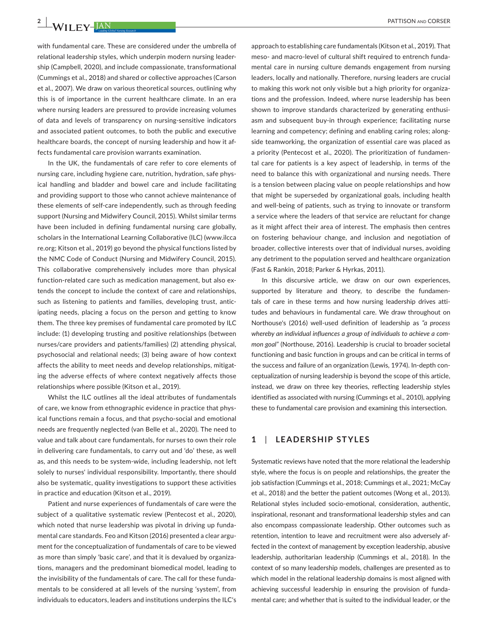with fundamental care. These are considered under the umbrella of relational leadership styles, which underpin modern nursing leadership (Campbell, 2020), and include compassionate, transformational (Cummings et al., 2018) and shared or collective approaches (Carson et al., 2007). We draw on various theoretical sources, outlining why this is of importance in the current healthcare climate. In an era where nursing leaders are pressured to provide increasing volumes of data and levels of transparency on nursing-sensitive indicators and associated patient outcomes, to both the public and executive healthcare boards, the concept of nursing leadership and how it affects fundamental care provision warrants examination.

In the UK, the fundamentals of care refer to core elements of nursing care, including hygiene care, nutrition, hydration, safe physical handling and bladder and bowel care and include facilitating and providing support to those who cannot achieve maintenance of these elements of self-care independently, such as through feeding support (Nursing and Midwifery Council, 2015). Whilst similar terms have been included in defining fundamental nursing care globally, scholars in the International Learning Collaborative (ILC) [\(www.ilcca](http://www.ilccare.org) [re.org;](http://www.ilccare.org) Kitson et al., 2019) go beyond the physical functions listed by the NMC Code of Conduct (Nursing and Midwifery Council, 2015). This collaborative comprehensively includes more than physical function-related care such as medication management, but also extends the concept to include the context of care and relationships, such as listening to patients and families, developing trust, anticipating needs, placing a focus on the person and getting to know them. The three key premises of fundamental care promoted by ILC include: (1) developing trusting and positive relationships (between nurses/care providers and patients/families) (2) attending physical, psychosocial and relational needs; (3) being aware of how context affects the ability to meet needs and develop relationships, mitigating the adverse effects of where context negatively affects those relationships where possible (Kitson et al., 2019).

Whilst the ILC outlines all the ideal attributes of fundamentals of care, we know from ethnographic evidence in practice that physical functions remain a focus, and that psycho-social and emotional needs are frequently neglected (van Belle et al., 2020). The need to value and talk about care fundamentals, for nurses to own their role in delivering care fundamentals, to carry out and 'do' these, as well as, and this needs to be system-wide, including leadership, not left solely to nurses' individual responsibility. Importantly, there should also be systematic, quality investigations to support these activities in practice and education (Kitson et al., 2019).

Patient and nurse experiences of fundamentals of care were the subject of a qualitative systematic review (Pentecost et al., 2020), which noted that nurse leadership was pivotal in driving up fundamental care standards. Feo and Kitson (2016) presented a clear argument for the conceptualization of fundamentals of care to be viewed as more than simply 'basic care', and that it is devalued by organizations, managers and the predominant biomedical model, leading to the invisibility of the fundamentals of care. The call for these fundamentals to be considered at all levels of the nursing 'system', from individuals to educators, leaders and institutions underpins the ILC's

approach to establishing care fundamentals (Kitson et al., 2019). That meso- and macro-level of cultural shift required to entrench fundamental care in nursing culture demands engagement from nursing leaders, locally and nationally. Therefore, nursing leaders are crucial to making this work not only visible but a high priority for organizations and the profession. Indeed, where nurse leadership has been shown to improve standards characterized by generating enthusiasm and subsequent buy-in through experience; facilitating nurse learning and competency; defining and enabling caring roles; alongside teamworking, the organization of essential care was placed as a priority (Pentecost et al., 2020). The prioritization of fundamental care for patients is a key aspect of leadership, in terms of the need to balance this with organizational and nursing needs. There is a tension between placing value on people relationships and how that might be superseded by organizational goals, including health and well-being of patients, such as trying to innovate or transform a service where the leaders of that service are reluctant for change as it might affect their area of interest. The emphasis then centres on fostering behaviour change, and inclusion and negotiation of broader, collective interests over that of individual nurses, avoiding any detriment to the population served and healthcare organization (Fast & Rankin, 2018; Parker & Hyrkas, 2011).

In this discursive article, we draw on our own experiences, supported by literature and theory, to describe the fundamentals of care in these terms and how nursing leadership drives attitudes and behaviours in fundamental care. We draw throughout on Northouse's (2016) well-used definition of leadership as *"a process whereby an individual influences a group of individuals to achieve a common goal"* (Northouse, 2016). Leadership is crucial to broader societal functioning and basic function in groups and can be critical in terms of the success and failure of an organization (Lewis, 1974). In-depth conceptualization of nursing leadership is beyond the scope of this article, instead, we draw on three key theories, reflecting leadership styles identified as associated with nursing (Cummings et al., 2010), applying these to fundamental care provision and examining this intersection.

## **1**  | **LEADERSHIP STYLES**

Systematic reviews have noted that the more relational the leadership style, where the focus is on people and relationships, the greater the job satisfaction (Cummings et al., 2018; Cummings et al., 2021; McCay et al., 2018) and the better the patient outcomes (Wong et al., 2013). Relational styles included socio-emotional, consideration, authentic, inspirational, resonant and transformational leadership styles and can also encompass compassionate leadership. Other outcomes such as retention, intention to leave and recruitment were also adversely affected in the context of management by exception leadership, abusive leadership, authoritarian leadership (Cummings et al., 2018). In the context of so many leadership models, challenges are presented as to which model in the relational leadership domains is most aligned with achieving successful leadership in ensuring the provision of fundamental care; and whether that is suited to the individual leader, or the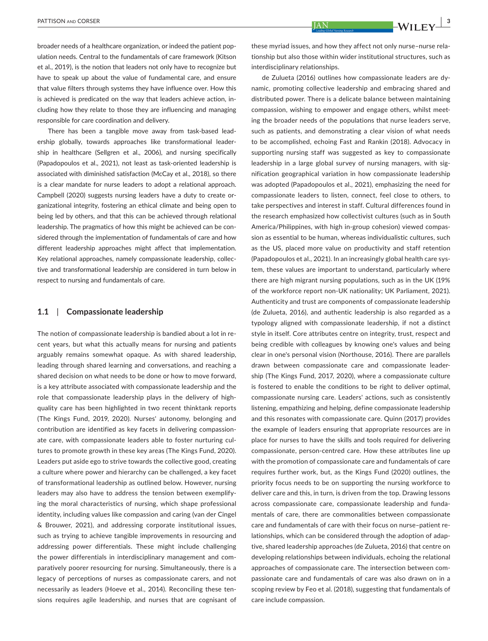broader needs of a healthcare organization, or indeed the patient population needs. Central to the fundamentals of care framework (Kitson et al., 2019), is the notion that leaders not only have to recognize but have to speak up about the value of fundamental care, and ensure that value filters through systems they have influence over. How this is achieved is predicated on the way that leaders achieve action, including how they relate to those they are influencing and managing responsible for care coordination and delivery.

There has been a tangible move away from task-based leadership globally, towards approaches like transformational leadership in healthcare (Sellgren et al., 2006), and nursing specifically (Papadopoulos et al., 2021), not least as task-oriented leadership is associated with diminished satisfaction (McCay et al., 2018), so there is a clear mandate for nurse leaders to adopt a relational approach. Campbell (2020) suggests nursing leaders have a duty to create organizational integrity, fostering an ethical climate and being open to being led by others, and that this can be achieved through relational leadership. The pragmatics of how this might be achieved can be considered through the implementation of fundamentals of care and how different leadership approaches might affect that implementation. Key relational approaches, namely compassionate leadership, collective and transformational leadership are considered in turn below in respect to nursing and fundamentals of care.

## **1.1**  | **Compassionate leadership**

The notion of compassionate leadership is bandied about a lot in recent years, but what this actually means for nursing and patients arguably remains somewhat opaque. As with shared leadership, leading through shared learning and conversations, and reaching a shared decision on what needs to be done or how to move forward, is a key attribute associated with compassionate leadership and the role that compassionate leadership plays in the delivery of highquality care has been highlighted in two recent thinktank reports (The Kings Fund, 2019, 2020). Nurses' autonomy, belonging and contribution are identified as key facets in delivering compassionate care, with compassionate leaders able to foster nurturing cultures to promote growth in these key areas (The Kings Fund, 2020). Leaders put aside ego to strive towards the collective good, creating a culture where power and hierarchy can be challenged, a key facet of transformational leadership as outlined below. However, nursing leaders may also have to address the tension between exemplifying the moral characteristics of nursing, which shape professional identity, including values like compassion and caring (van der Cingel & Brouwer, 2021), and addressing corporate institutional issues, such as trying to achieve tangible improvements in resourcing and addressing power differentials. These might include challenging the power differentials in interdisciplinary management and comparatively poorer resourcing for nursing. Simultaneously, there is a legacy of perceptions of nurses as compassionate carers, and not necessarily as leaders (Hoeve et al., 2014). Reconciling these tensions requires agile leadership, and nurses that are cognisant of

these myriad issues, and how they affect not only nurse–nurse relationship but also those within wider institutional structures, such as interdisciplinary relationships.

de Zulueta (2016) outlines how compassionate leaders are dynamic, promoting collective leadership and embracing shared and distributed power. There is a delicate balance between maintaining compassion, wishing to empower and engage others, whilst meeting the broader needs of the populations that nurse leaders serve, such as patients, and demonstrating a clear vision of what needs to be accomplished, echoing Fast and Rankin (2018). Advocacy in supporting nursing staff was suggested as key to compassionate leadership in a large global survey of nursing managers, with signification geographical variation in how compassionate leadership was adopted (Papadopoulos et al., 2021), emphasizing the need for compassionate leaders to listen, connect, feel close to others, to take perspectives and interest in staff. Cultural differences found in the research emphasized how collectivist cultures (such as in South America/Philippines, with high in-group cohesion) viewed compassion as essential to be human, whereas individualistic cultures, such as the US, placed more value on productivity and staff retention (Papadopoulos et al., 2021). In an increasingly global health care system, these values are important to understand, particularly where there are high migrant nursing populations, such as in the UK (19% of the workforce report non-UK nationality; UK Parliament, 2021). Authenticity and trust are components of compassionate leadership (de Zulueta, 2016), and authentic leadership is also regarded as a typology aligned with compassionate leadership, if not a distinct style in itself. Core attributes centre on integrity, trust, respect and being credible with colleagues by knowing one's values and being clear in one's personal vision (Northouse, 2016). There are parallels drawn between compassionate care and compassionate leadership (The Kings Fund, 2017, 2020), where a compassionate culture is fostered to enable the conditions to be right to deliver optimal, compassionate nursing care. Leaders' actions, such as consistently listening, empathizing and helping, define compassionate leadership and this resonates with compassionate care. Quinn (2017) provides the example of leaders ensuring that appropriate resources are in place for nurses to have the skills and tools required for delivering compassionate, person-centred care. How these attributes line up with the promotion of compassionate care and fundamentals of care requires further work, but, as the Kings Fund (2020) outlines, the priority focus needs to be on supporting the nursing workforce to deliver care and this, in turn, is driven from the top. Drawing lessons across compassionate care, compassionate leadership and fundamentals of care, there are commonalities between compassionate care and fundamentals of care with their focus on nurse–patient relationships, which can be considered through the adoption of adaptive, shared leadership approaches (de Zulueta, 2016) that centre on developing relationships between individuals, echoing the relational approaches of compassionate care. The intersection between compassionate care and fundamentals of care was also drawn on in a scoping review by Feo et al. (2018), suggesting that fundamentals of care include compassion.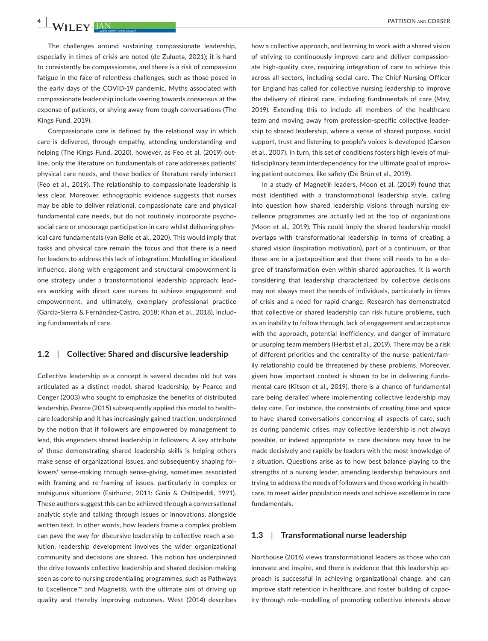The challenges around sustaining compassionate leadership, especially in times of crisis are noted (de Zulueta, 2021); it is hard to consistently be compassionate, and there is a risk of compassion fatigue in the face of relentless challenges, such as those posed in the early days of the COVID-19 pandemic. Myths associated with compassionate leadership include veering towards consensus at the expense of patients, or shying away from tough conversations (The Kings Fund, 2019).

Compassionate care is defined by the relational way in which care is delivered, through empathy, attending understanding and helping (The Kings Fund, 2020), however, as Feo et al. (2019) outline, only the literature on fundamentals of care addresses patients' physical care needs, and these bodies of literature rarely intersect (Feo et al., 2019). The relationship to compassionate leadership is less clear. Moreover, ethnographic evidence suggests that nurses may be able to deliver relational, compassionate care and physical fundamental care needs, but do not routinely incorporate psychosocial care or encourage participation in care whilst delivering physical care fundamentals (van Belle et al., 2020). This would imply that tasks and physical care remain the focus and that there is a need for leaders to address this lack of integration. Modelling or idealized influence, along with engagement and structural empowerment is one strategy under a transformational leadership approach; leaders working with direct care nurses to achieve engagement and empowerment, and ultimately, exemplary professional practice (García-Sierra & Fernández-Castro, 2018; Khan et al., 2018), including fundamentals of care.

## **1.2**  | **Collective: Shared and discursive leadership**

Collective leadership as a concept is several decades old but was articulated as a distinct model, shared leadership, by Pearce and Conger (2003) who sought to emphasize the benefits of distributed leadership. Pearce (2015) subsequently applied this model to healthcare leadership and it has increasingly gained traction, underpinned by the notion that if followers are empowered by management to lead, this engenders shared leadership in followers. A key attribute of those demonstrating shared leadership skills is helping others make sense of organizational issues, and subsequently shaping followers' sense-making through sense-giving, sometimes associated with framing and re-framing of issues, particularly in complex or ambiguous situations (Fairhurst, 2011; Gioia & Chittipeddi, 1991). These authors suggest this can be achieved through a conversational analytic style and talking through issues or innovations, alongside written text. In other words, how leaders frame a complex problem can pave the way for discursive leadership to collective reach a solution; leadership development involves the wider organizational community and decisions are shared. This notion has underpinned the drive towards collective leadership and shared decision-making seen as core to nursing credentialing programmes, such as Pathways to Excellence™ and Magnet®, with the ultimate aim of driving up quality and thereby improving outcomes. West (2014) describes

how a collective approach, and learning to work with a shared vision of striving to continuously improve care and deliver compassionate high-quality care, requiring integration of care to achieve this across all sectors, including social care. The Chief Nursing Officer for England has called for collective nursing leadership to improve the delivery of clinical care, including fundamentals of care (May, 2019). Extending this to include all members of the healthcare team and moving away from profession-specific collective leadership to shared leadership, where a sense of shared purpose, social support, trust and listening to people's voices is developed (Carson et al., 2007). In turn, this set of conditions fosters high levels of multidisciplinary team interdependency for the ultimate goal of improving patient outcomes, like safety (De Brún et al., 2019).

In a study of Magnet® leaders, Moon et al. (2019) found that most identified with a transformational leadership style, calling into question how shared leadership visions through nursing excellence programmes are actually led at the top of organizations (Moon et al., 2019). This could imply the shared leadership model overlaps with transformational leadership in terms of creating a shared vision (inspiration motivation), part of a continuum, or that these are in a juxtaposition and that there still needs to be a degree of transformation even within shared approaches. It is worth considering that leadership characterized by collective decisions may not always meet the needs of individuals, particularly in times of crisis and a need for rapid change. Research has demonstrated that collective or shared leadership can risk future problems, such as an inability to follow through, lack of engagement and acceptance with the approach, potential inefficiency, and danger of immature or usurping team members (Herbst et al., 2019). There may be a risk of different priorities and the centrality of the nurse–patient/family relationship could be threatened by these problems. Moreover, given how important context is shown to be in delivering fundamental care (Kitson et al., 2019), there is a chance of fundamental care being derailed where implementing collective leadership may delay care. For instance, the constraints of creating time and space to have shared conversations concerning all aspects of care, such as during pandemic crises, may collective leadership is not always possible, or indeed appropriate as care decisions may have to be made decisively and rapidly by leaders with the most knowledge of a situation. Questions arise as to how best balance playing to the strengths of a nursing leader, amending leadership behaviours and trying to address the needs of followers and those working in healthcare, to meet wider population needs and achieve excellence in care fundamentals.

## **1.3**  | **Transformational nurse leadership**

Northouse (2016) views transformational leaders as those who can innovate and inspire, and there is evidence that this leadership approach is successful in achieving organizational change, and can improve staff retention in healthcare, and foster building of capacity through role-modelling of promoting collective interests above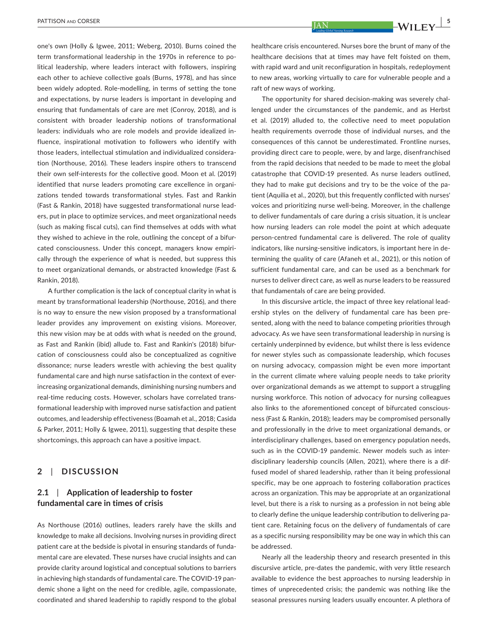one's own (Holly & Igwee, 2011; Weberg, 2010). Burns coined the term transformational leadership in the 1970s in reference to political leadership, where leaders interact with followers, inspiring each other to achieve collective goals (Burns, 1978), and has since been widely adopted. Role-modelling, in terms of setting the tone and expectations, by nurse leaders is important in developing and ensuring that fundamentals of care are met (Conroy, 2018), and is consistent with broader leadership notions of transformational leaders: individuals who are role models and provide idealized influence, inspirational motivation to followers who identify with those leaders, intellectual stimulation and individualized consideration (Northouse, 2016). These leaders inspire others to transcend their own self-interests for the collective good. Moon et al. (2019) identified that nurse leaders promoting care excellence in organizations tended towards transformational styles. Fast and Rankin (Fast & Rankin, 2018) have suggested transformational nurse leaders, put in place to optimize services, and meet organizational needs (such as making fiscal cuts), can find themselves at odds with what they wished to achieve in the role, outlining the concept of a bifurcated consciousness. Under this concept, managers know empirically through the experience of what is needed, but suppress this to meet organizational demands, or abstracted knowledge (Fast & Rankin, 2018).

A further complication is the lack of conceptual clarity in what is meant by transformational leadership (Northouse, 2016), and there is no way to ensure the new vision proposed by a transformational leader provides any improvement on existing visions. Moreover, this new vision may be at odds with what is needed on the ground, as Fast and Rankin (ibid) allude to. Fast and Rankin's (2018) bifurcation of consciousness could also be conceptualized as cognitive dissonance; nurse leaders wrestle with achieving the best quality fundamental care and high nurse satisfaction in the context of everincreasing organizational demands, diminishing nursing numbers and real-time reducing costs. However, scholars have correlated transformational leadership with improved nurse satisfaction and patient outcomes, and leadership effectiveness (Boamah et al., 2018; Casida & Parker, 2011; Holly & Igwee, 2011), suggesting that despite these shortcomings, this approach can have a positive impact.

## **2**  | **DISCUSSION**

# **2.1**  | **Application of leadership to foster fundamental care in times of crisis**

As Northouse (2016) outlines, leaders rarely have the skills and knowledge to make all decisions. Involving nurses in providing direct patient care at the bedside is pivotal in ensuring standards of fundamental care are elevated. These nurses have crucial insights and can provide clarity around logistical and conceptual solutions to barriers in achieving high standards of fundamental care. The COVID-19 pandemic shone a light on the need for credible, agile, compassionate, coordinated and shared leadership to rapidly respond to the global

The opportunity for shared decision-making was severely challenged under the circumstances of the pandemic, and as Herbst et al. (2019) alluded to, the collective need to meet population health requirements overrode those of individual nurses, and the consequences of this cannot be underestimated. Frontline nurses, providing direct care to people, were, by and large, disenfranchised from the rapid decisions that needed to be made to meet the global catastrophe that COVID-19 presented. As nurse leaders outlined, they had to make gut decisions and try to be the voice of the patient (Aquilia et al., 2020), but this frequently conflicted with nurses' voices and prioritizing nurse well-being. Moreover, in the challenge to deliver fundamentals of care during a crisis situation, it is unclear how nursing leaders can role model the point at which adequate person-centred fundamental care is delivered. The role of quality indicators, like nursing-sensitive indicators, is important here in determining the quality of care (Afaneh et al., 2021), or this notion of sufficient fundamental care, and can be used as a benchmark for nurses to deliver direct care, as well as nurse leaders to be reassured that fundamentals of care are being provided.

In this discursive article, the impact of three key relational leadership styles on the delivery of fundamental care has been presented, along with the need to balance competing priorities through advocacy. As we have seen transformational leadership in nursing is certainly underpinned by evidence, but whilst there is less evidence for newer styles such as compassionate leadership, which focuses on nursing advocacy, compassion might be even more important in the current climate where valuing people needs to take priority over organizational demands as we attempt to support a struggling nursing workforce. This notion of advocacy for nursing colleagues also links to the aforementioned concept of bifurcated consciousness (Fast & Rankin, 2018); leaders may be compromised personally and professionally in the drive to meet organizational demands, or interdisciplinary challenges, based on emergency population needs, such as in the COVID-19 pandemic. Newer models such as interdisciplinary leadership councils (Allen, 2021), where there is a diffused model of shared leadership, rather than it being professional specific, may be one approach to fostering collaboration practices across an organization. This may be appropriate at an organizational level, but there is a risk to nursing as a profession in not being able to clearly define the unique leadership contribution to delivering patient care. Retaining focus on the delivery of fundamentals of care as a specific nursing responsibility may be one way in which this can be addressed.

Nearly all the leadership theory and research presented in this discursive article, pre-dates the pandemic, with very little research available to evidence the best approaches to nursing leadership in times of unprecedented crisis; the pandemic was nothing like the seasonal pressures nursing leaders usually encounter. A plethora of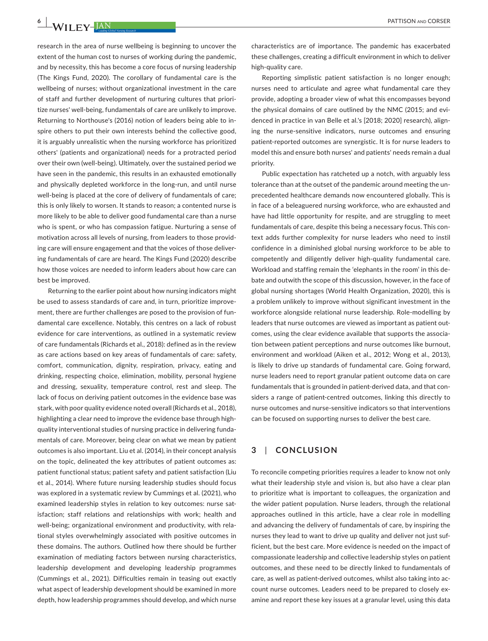research in the area of nurse wellbeing is beginning to uncover the extent of the human cost to nurses of working during the pandemic, and by necessity, this has become a core focus of nursing leadership (The Kings Fund, 2020). The corollary of fundamental care is the wellbeing of nurses; without organizational investment in the care of staff and further development of nurturing cultures that prioritize nurses' well-being, fundamentals of care are unlikely to improve. Returning to Northouse's (2016) notion of leaders being able to inspire others to put their own interests behind the collective good, it is arguably unrealistic when the nursing workforce has prioritized others' (patients and organizational) needs for a protracted period over their own (well-being). Ultimately, over the sustained period we have seen in the pandemic, this results in an exhausted emotionally and physically depleted workforce in the long-run, and until nurse well-being is placed at the core of delivery of fundamentals of care; this is only likely to worsen. It stands to reason; a contented nurse is more likely to be able to deliver good fundamental care than a nurse who is spent, or who has compassion fatigue. Nurturing a sense of motivation across all levels of nursing, from leaders to those providing care will ensure engagement and that the voices of those delivering fundamentals of care are heard. The Kings Fund (2020) describe how those voices are needed to inform leaders about how care can best be improved.

Returning to the earlier point about how nursing indicators might be used to assess standards of care and, in turn, prioritize improvement, there are further challenges are posed to the provision of fundamental care excellence. Notably, this centres on a lack of robust evidence for care interventions, as outlined in a systematic review of care fundamentals (Richards et al., 2018): defined as in the review as care actions based on key areas of fundamentals of care: safety, comfort, communication, dignity, respiration, privacy, eating and drinking, respecting choice, elimination, mobility, personal hygiene and dressing, sexuality, temperature control, rest and sleep. The lack of focus on deriving patient outcomes in the evidence base was stark, with poor quality evidence noted overall (Richards et al., 2018), highlighting a clear need to improve the evidence base through highquality interventional studies of nursing practice in delivering fundamentals of care. Moreover, being clear on what we mean by patient outcomes is also important. Liu et al. (2014), in their concept analysis on the topic, delineated the key attributes of patient outcomes as: patient functional status; patient safety and patient satisfaction (Liu et al., 2014). Where future nursing leadership studies should focus was explored in a systematic review by Cummings et al. (2021), who examined leadership styles in relation to key outcomes: nurse satisfaction; staff relations and relationships with work; health and well-being; organizational environment and productivity, with relational styles overwhelmingly associated with positive outcomes in these domains. The authors. Outlined how there should be further examination of mediating factors between nursing characteristics, leadership development and developing leadership programmes (Cummings et al., 2021). Difficulties remain in teasing out exactly what aspect of leadership development should be examined in more depth, how leadership programmes should develop, and which nurse

characteristics are of importance. The pandemic has exacerbated these challenges, creating a difficult environment in which to deliver high-quality care.

Reporting simplistic patient satisfaction is no longer enough; nurses need to articulate and agree what fundamental care they provide, adopting a broader view of what this encompasses beyond the physical domains of care outlined by the NMC (2015; and evidenced in practice in van Belle et al.'s [2018; 2020] research), aligning the nurse-sensitive indicators, nurse outcomes and ensuring patient-reported outcomes are synergistic. It is for nurse leaders to model this and ensure both nurses' and patients' needs remain a dual priority.

Public expectation has ratcheted up a notch, with arguably less tolerance than at the outset of the pandemic around meeting the unprecedented healthcare demands now encountered globally. This is in face of a beleaguered nursing workforce, who are exhausted and have had little opportunity for respite, and are struggling to meet fundamentals of care, despite this being a necessary focus. This context adds further complexity for nurse leaders who need to instil confidence in a diminished global nursing workforce to be able to competently and diligently deliver high-quality fundamental care. Workload and staffing remain the 'elephants in the room' in this debate and outwith the scope of this discussion, however, in the face of global nursing shortages (World Health Organization, 2020), this is a problem unlikely to improve without significant investment in the workforce alongside relational nurse leadership. Role-modelling by leaders that nurse outcomes are viewed as important as patient outcomes, using the clear evidence available that supports the association between patient perceptions and nurse outcomes like burnout, environment and workload (Aiken et al., 2012; Wong et al., 2013), is likely to drive up standards of fundamental care. Going forward, nurse leaders need to report granular patient outcome data on care fundamentals that is grounded in patient-derived data, and that considers a range of patient-centred outcomes, linking this directly to nurse outcomes and nurse-sensitive indicators so that interventions can be focused on supporting nurses to deliver the best care.

## **3**  | **CONCLUSION**

To reconcile competing priorities requires a leader to know not only what their leadership style and vision is, but also have a clear plan to prioritize what is important to colleagues, the organization and the wider patient population. Nurse leaders, through the relational approaches outlined in this article, have a clear role in modelling and advancing the delivery of fundamentals of care, by inspiring the nurses they lead to want to drive up quality and deliver not just sufficient, but the best care. More evidence is needed on the impact of compassionate leadership and collective leadership styles on patient outcomes, and these need to be directly linked to fundamentals of care, as well as patient-derived outcomes, whilst also taking into account nurse outcomes. Leaders need to be prepared to closely examine and report these key issues at a granular level, using this data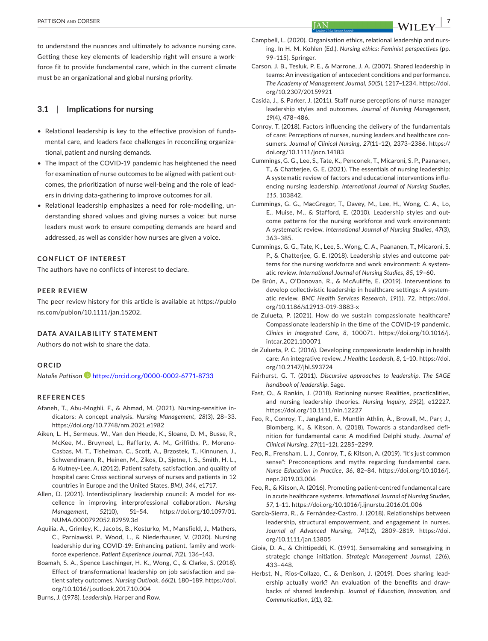to understand the nuances and ultimately to advance nursing care. Getting these key elements of leadership right will ensure a workforce fit to provide fundamental care, which in the current climate must be an organizational and global nursing priority.

## **3.1**  | **Implications for nursing**

- Relational leadership is key to the effective provision of fundamental care, and leaders face challenges in reconciling organizational, patient and nursing demands.
- The impact of the COVID-19 pandemic has heightened the need for examination of nurse outcomes to be aligned with patient outcomes, the prioritization of nurse well-being and the role of leaders in driving data-gathering to improve outcomes for all.
- Relational leadership emphasizes a need for role-modelling, understanding shared values and giving nurses a voice; but nurse leaders must work to ensure competing demands are heard and addressed, as well as consider how nurses are given a voice.

## **CONFLICT OF INTEREST**

The authors have no conflicts of interest to declare.

## **PEER REVIEW**

The peer review history for this article is available at [https://publo](https://publons.com/publon/10.1111/jan.15202) [ns.com/publon/10.1111/jan.15202.](https://publons.com/publon/10.1111/jan.15202)

## **DATA AVAILABILITY STATEMENT**

Authors do not wish to share the data.

## **ORCID**

*Natalie Pattiso[n](https://orcid.org/0000-0002-6771-8733)* <https://orcid.org/0000-0002-6771-8733>

### **REFERENCES**

- Afaneh, T., Abu-Moghli, F., & Ahmad, M. (2021). Nursing-sensitive indicators: A concept analysis. *Nursing Management*, *28*(3), 28–33. <https://doi.org/10.7748/nm.2021.e1982>
- Aiken, L. H., Sermeus, W., Van den Heede, K., Sloane, D. M., Busse, R., McKee, M., Bruyneel, L., Rafferty, A. M., Griffiths, P., Moreno-Casbas, M. T., Tishelman, C., Scott, A., Brzostek, T., Kinnunen, J., Schwendimann, R., Heinen, M., Zikos, D., Sjetne, I. S., Smith, H. L., & Kutney-Lee, A. (2012). Patient safety, satisfaction, and quality of hospital care: Cross sectional surveys of nurses and patients in 12 countries in Europe and the United States. *BMJ*, *344*, e1717.
- Allen, D. (2021). Interdisciplinary leadership council: A model for excellence in improving interprofessional collaboration. *Nursing Management*, *52*(10), 51–54. [https://doi.org/10.1097/01.](https://doi.org/10.1097/01.NUMA.0000792052.82959.3d) [NUMA.0000792052.82959.3d](https://doi.org/10.1097/01.NUMA.0000792052.82959.3d)
- Aquilia, A., Grimley, K., Jacobs, B., Kosturko, M., Mansfield, J., Mathers, C., Parniawski, P., Wood, L., & Niederhauser, V. (2020). Nursing leadership during COVID-19: Enhancing patient, family and workforce experience. *Patient Experience Journal*, *7*(2), 136–143.
- Boamah, S. A., Spence Laschinger, H. K., Wong, C., & Clarke, S. (2018). Effect of transformational leadership on job satisfaction and patient safety outcomes. *Nursing Outlook*, *66*(2), 180–189. [https://doi.](https://doi.org/10.1016/j.outlook.2017.10.004) [org/10.1016/j.outlook.2017.10.004](https://doi.org/10.1016/j.outlook.2017.10.004)

Burns, J. (1978). *Leadership*. Harper and Row.

- Campbell, L. (2020). Organisation ethics, relational leadership and nursing. In H. M. Kohlen (Ed.), *Nursing ethics: Feminist perspectives* (pp. 99–115). Springer.
- Carson, J. B., Tesluk, P. E., & Marrone, J. A. (2007). Shared leadership in teams: An investigation of antecedent conditions and performance. *The Academy of Management Journal*, *50*(5), 1217–1234. [https://doi.](https://doi.org/10.2307/20159921) [org/10.2307/20159921](https://doi.org/10.2307/20159921)
- Casida, J., & Parker, J. (2011). Staff nurse perceptions of nurse manager leadership styles and outcomes. *Journal of Nursing Management*, *19*(4), 478–486.
- Conroy, T. (2018). Factors influencing the delivery of the fundamentals of care: Perceptions of nurses, nursing leaders and healthcare consumers. *Journal of Clinical Nursing*, *27*(11–12), 2373–2386. [https://](https://doi.org/10.1111/jocn.14183) [doi.org/10.1111/jocn.14183](https://doi.org/10.1111/jocn.14183)
- Cummings, G. G., Lee, S., Tate, K., Penconek, T., Micaroni, S. P., Paananen, T., & Chatterjee, G. E. (2021). The essentials of nursing leadership: A systematic review of factors and educational interventions influencing nursing leadership. *International Journal of Nursing Studies*, *115*, 103842.
- Cummings, G. G., MacGregor, T., Davey, M., Lee, H., Wong, C. A., Lo, E., Muise, M., & Stafford, E. (2010). Leadership styles and outcome patterns for the nursing workforce and work environment: A systematic review. *International Journal of Nursing Studies*, *47*(3), 363–385.
- Cummings, G. G., Tate, K., Lee, S., Wong, C. A., Paananen, T., Micaroni, S. P., & Chatterjee, G. E. (2018). Leadership styles and outcome patterns for the nursing workforce and work environment: A systematic review. *International Journal of Nursing Studies*, *85*, 19–60.
- De Brún, A., O'Donovan, R., & McAuliffe, E. (2019). Interventions to develop collectivistic leadership in healthcare settings: A systematic review. *BMC Health Services Research*, *19*(1), 72. [https://doi.](https://doi.org/10.1186/s12913-019-3883-x) [org/10.1186/s12913-019-3883-x](https://doi.org/10.1186/s12913-019-3883-x)
- de Zulueta, P. (2021). How do we sustain compassionate healthcare? Compassionate leadership in the time of the COVID-19 pandemic. *Clinics in Integrated Care*, *8*, 100071. [https://doi.org/10.1016/j.](https://doi.org/10.1016/j.intcar.2021.100071) [intcar.2021.100071](https://doi.org/10.1016/j.intcar.2021.100071)
- de Zulueta, P. C. (2016). Developing compassionate leadership in health care: An integrative review. *J Healthc Leadersh*, *8*, 1–10. [https://doi.](https://doi.org/10.2147/jhl.S93724) [org/10.2147/jhl.S93724](https://doi.org/10.2147/jhl.S93724)
- Fairhurst, G. T. (2011). *Discursive approaches to leadership. The SAGE handbook of leadership*. Sage.
- Fast, O., & Rankin, J. (2018). Rationing nurses: Realities, practicalities, and nursing leadership theories. *Nursing Inquiry*, *25*(2), e12227. <https://doi.org/10.1111/nin.12227>
- Feo, R., Conroy, T., Jangland, E., Muntlin Athlin, Å., Brovall, M., Parr, J., Blomberg, K., & Kitson, A. (2018). Towards a standardised definition for fundamental care: A modified Delphi study. *Journal of Clinical Nursing*, *27*(11–12), 2285–2299.
- Feo, R., Frensham, L. J., Conroy, T., & Kitson, A. (2019). "It's just common sense": Preconceptions and myths regarding fundamental care. *Nurse Education in Practice*, *36*, 82–84. [https://doi.org/10.1016/j.](https://doi.org/10.1016/j.nepr.2019.03.006) [nepr.2019.03.006](https://doi.org/10.1016/j.nepr.2019.03.006)
- Feo, R., & Kitson, A. (2016). Promoting patient-centred fundamental care in acute healthcare systems. *International Journal of Nursing Studies*, *57*, 1–11.<https://doi.org/10.1016/j.ijnurstu.2016.01.006>
- García-Sierra, R., & Fernández-Castro, J. (2018). Relationships between leadership, structural empowerment, and engagement in nurses. *Journal of Advanced Nursing*, *74*(12), 2809–2819. [https://doi.](https://doi.org/10.1111/jan.13805) [org/10.1111/jan.13805](https://doi.org/10.1111/jan.13805)
- Gioia, D. A., & Chittipeddi, K. (1991). Sensemaking and sensegiving in strategic change initiation. *Strategic Management Journal*, *12*(6), 433–448.
- Herbst, N., Rios-Collazo, C., & Denison, J. (2019). Does sharing leadership actually work? An evaluation of the benefits and drawbacks of shared leadership. *Journal of Education, Innovation, and Communication*, *1*(1), 32.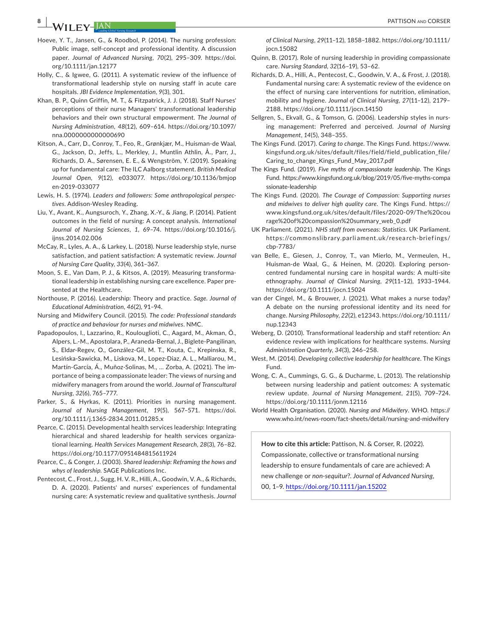**8 A EXECUTE A PATTISON** AND CORSER

- Hoeve, Y. T., Jansen, G., & Roodbol, P. (2014). The nursing profession: Public image, self-concept and professional identity. A discussion paper. *Journal of Advanced Nursing*, *70*(2), 295–309. [https://doi.](https://doi.org/10.1111/jan.12177) [org/10.1111/jan.12177](https://doi.org/10.1111/jan.12177)
- Holly, C., & Igwee, G. (2011). A systematic review of the influence of transformational leadership style on nursing staff in acute care hospitals. *JBI Evidence Implementation*, *9*(3), 301.
- Khan, B. P., Quinn Griffin, M. T., & Fitzpatrick, J. J. (2018). Staff Nurses' perceptions of their nurse Managers' transformational leadership behaviors and their own structural empowerment. *The Journal of Nursing Administration*, *48*(12), 609–614. [https://doi.org/10.1097/](https://doi.org/10.1097/nna.0000000000000690) [nna.0000000000000690](https://doi.org/10.1097/nna.0000000000000690)
- Kitson, A., Carr, D., Conroy, T., Feo, R., Grønkjær, M., Huisman-de Waal, G., Jackson, D., Jeffs, L., Merkley, J., Muntlin Athlin, Å., Parr, J., Richards, D. A., Sørensen, E. E., & Wengström, Y. (2019). Speaking up for fundamental care: The ILC Aalborg statement. *British Medical Journal Open*, *9*(12), e033077. [https://doi.org/10.1136/bmjop](https://doi.org/10.1136/bmjopen-2019-033077) [en-2019-033077](https://doi.org/10.1136/bmjopen-2019-033077)
- Lewis, H. S. (1974). *Leaders and followers: Some anthropological perspectives*. Addison-Wesley Reading.
- Liu, Y., Avant, K., Aungsuroch, Y., Zhang, X.-Y., & Jiang, P. (2014). Patient outcomes in the field of nursing: A concept analysis. *International Journal of Nursing Sciences*, *1*, 69–74. [https://doi.org/10.1016/j.](https://doi.org/10.1016/j.ijnss.2014.02.006) [ijnss.2014.02.006](https://doi.org/10.1016/j.ijnss.2014.02.006)
- McCay, R., Lyles, A. A., & Larkey, L. (2018). Nurse leadership style, nurse satisfaction, and patient satisfaction: A systematic review. *Journal of Nursing Care Quality*, *33*(4), 361–367.
- Moon, S. E., Van Dam, P. J., & Kitsos, A. (2019). Measuring transformational leadership in establishing nursing care excellence. Paper presented at the Healthcare.
- Northouse, P. (2016). Leadership: Theory and practice. *Sage. Journal of Educational Administration*, *46*(2), 91–94.
- Nursing and Midwifery Council. (2015). *The code: Professional standards of practice and behaviour for nurses and midwives*. NMC.
- Papadopoulos, I., Lazzarino, R., Koulouglioti, C., Aagard, M., Akman, Ö., Alpers, L.-M., Apostolara, P., Araneda-Bernal, J., Biglete-Pangilinan, S., Eldar-Regev, O., González-Gil, M. T., Kouta, C., Krepinska, R., Lesińska-Sawicka, M., Liskova, M., Lopez-Diaz, A. L., Malliarou, M., Martín-García, Á., Muñoz-Solinas, M., … Zorba, A. (2021). The importance of being a compassionate leader: The views of nursing and midwifery managers from around the world. *Journal of Transcultural Nursing*, *32*(6), 765–777.
- Parker, S., & Hyrkas, K. (2011). Priorities in nursing management. *Journal of Nursing Management*, *19*(5), 567–571. [https://doi.](https://doi.org/10.1111/j.1365-2834.2011.01285.x) [org/10.1111/j.1365-2834.2011.01285.x](https://doi.org/10.1111/j.1365-2834.2011.01285.x)
- Pearce, C. (2015). Developmental health services leadership: Integrating hierarchical and shared leadership for health services organizational learning. *Health Services Management Research*, *28*(3), 76–82. <https://doi.org/10.1177/0951484815611924>
- Pearce, C., & Conger, J. (2003). *Shared leadership: Reframing the hows and whys of leadership*. SAGE Publications Inc.
- Pentecost, C., Frost, J., Sugg, H. V. R., Hilli, A., Goodwin, V. A., & Richards, D. A. (2020). Patients' and nurses' experiences of fundamental nursing care: A systematic review and qualitative synthesis. *Journal*

*of Clinical Nursing*, *29*(11–12), 1858–1882. [https://doi.org/10.1111/](https://doi.org/10.1111/jocn.15082) [jocn.15082](https://doi.org/10.1111/jocn.15082)

- Quinn, B. (2017). Role of nursing leadership in providing compassionate care. *Nursing Standard*, *32*(16–19), 53–62.
- Richards, D. A., Hilli, A., Pentecost, C., Goodwin, V. A., & Frost, J. (2018). Fundamental nursing care: A systematic review of the evidence on the effect of nursing care interventions for nutrition, elimination, mobility and hygiene. *Journal of Clinical Nursing*, *27*(11–12), 2179– 2188.<https://doi.org/10.1111/jocn.14150>
- Sellgren, S., Ekvall, G., & Tomson, G. (2006). Leadership styles in nursing management: Preferred and perceived. *Journal of Nursing Management*, *14*(5), 348–355.
- The Kings Fund. (2017). *Caring to change*. The Kings Fund. [https://www.](https://www.kingsfund.org.uk/sites/default/files/field/field_publication_file/Caring_to_change_Kings_Fund_May_2017.pdf) [kingsfund.org.uk/sites/default/files/field/field\\_publication\\_file/](https://www.kingsfund.org.uk/sites/default/files/field/field_publication_file/Caring_to_change_Kings_Fund_May_2017.pdf) [Caring\\_to\\_change\\_Kings\\_Fund\\_May\\_2017.pdf](https://www.kingsfund.org.uk/sites/default/files/field/field_publication_file/Caring_to_change_Kings_Fund_May_2017.pdf)
- The Kings Fund. (2019). *Five myths of compassionate leadership*. The Kings Fund. [https://www.kingsfund.org.uk/blog/2019/05/five-myths-compa](https://www.kingsfund.org.uk/blog/2019/05/five-myths-compassionate-leadership) [ssionate-leadership](https://www.kingsfund.org.uk/blog/2019/05/five-myths-compassionate-leadership)
- The Kings Fund. (2020). *The Courage of Compassion: Supporting nurses and midwives to deliver high quality care*. The Kings Fund. [https://](https://www.kingsfund.org.uk/sites/default/files/2020-09/Thecourageofcompassionsummary_web_0.pdf) [www.kingsfund.org.uk/sites/default/files/2020-09/The%20cou](https://www.kingsfund.org.uk/sites/default/files/2020-09/Thecourageofcompassionsummary_web_0.pdf) [rage%20of%20compassion%20summary\\_web\\_0.pdf](https://www.kingsfund.org.uk/sites/default/files/2020-09/Thecourageofcompassionsummary_web_0.pdf)
- UK Parliament. (2021). *NHS staff from overseas: Statistics*. UK Parliament. https://commo nslib rary.parli [ament.uk/resea](https://commonslibrary.parliament.uk/research-briefings/cbp-7783/) rch-briefings/ [cbp-7783/](https://commonslibrary.parliament.uk/research-briefings/cbp-7783/)
- van Belle, E., Giesen, J., Conroy, T., van Mierlo, M., Vermeulen, H., Huisman-de Waal, G., & Heinen, M. (2020). Exploring personcentred fundamental nursing care in hospital wards: A multi-site ethnography. *Journal of Clinical Nursing*, *29*(11–12), 1933–1944. <https://doi.org/10.1111/jocn.15024>
- van der Cingel, M., & Brouwer, J. (2021). What makes a nurse today? A debate on the nursing professional identity and its need for change. *Nursing Philosophy*, *22*(2), e12343. [https://doi.org/10.1111/](https://doi.org/10.1111/nup.12343) [nup.12343](https://doi.org/10.1111/nup.12343)
- Weberg, D. (2010). Transformational leadership and staff retention: An evidence review with implications for healthcare systems. *Nursing Administration Quarterly*, *34*(3), 246–258.
- West, M. (2014). *Developing collective leadership for healthcare*. The Kings Fund.
- Wong, C. A., Cummings, G. G., & Ducharme, L. (2013). The relationship between nursing leadership and patient outcomes: A systematic review update. *Journal of Nursing Management*, *21*(5), 709–724. <https://doi.org/10.1111/jonm.12116>
- World Health Organisation. (2020). *Nursing and Midwifery*. WHO. [https://](https://www.who.int/news-room/fact-sheets/detail/nursing-and-midwifery) [www.who.int/news-room/fact-sheets/detail/nursing-and-midwifery](https://www.who.int/news-room/fact-sheets/detail/nursing-and-midwifery)

**How to cite this article:** Pattison, N. & Corser, R. (2022). Compassionate, collective or transformational nursing leadership to ensure fundamentals of care are achieved: A new challenge or *non-sequitur*?. *Journal of Advanced Nursing*,

00, 1–9. <https://doi.org/10.1111/jan.15202>